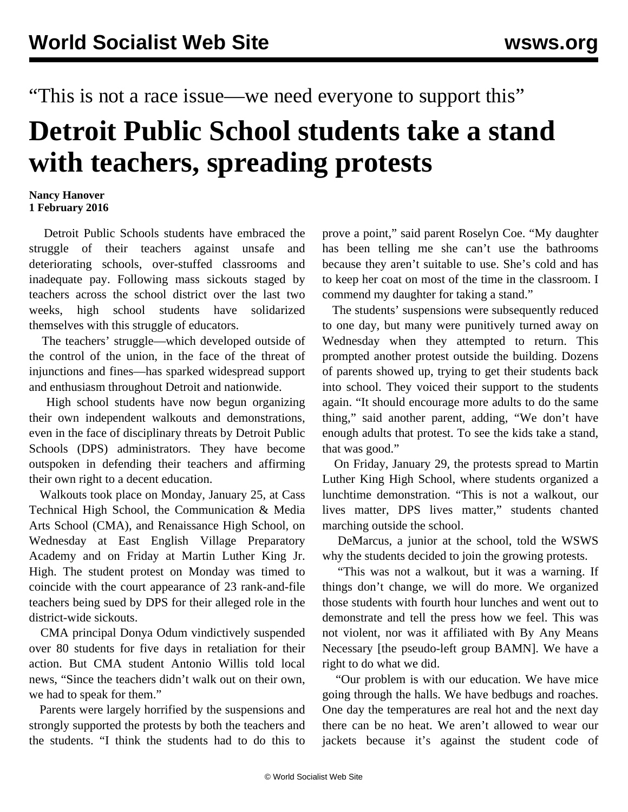"This is not a race issue—we need everyone to support this"

## **Detroit Public School students take a stand with teachers, spreading protests**

## **Nancy Hanover 1 February 2016**

 Detroit Public Schools students have embraced the struggle of their teachers against unsafe and deteriorating schools, over-stuffed classrooms and inadequate pay. Following mass sickouts staged by teachers across the school district over the last two weeks, high school students have solidarized themselves with this struggle of educators.

 The teachers' struggle—which developed outside of the control of the union, in the face of the threat of injunctions and fines—has sparked widespread support and enthusiasm throughout Detroit and nationwide.

 High school students have now begun organizing their own independent walkouts and demonstrations, even in the face of disciplinary threats by Detroit Public Schools (DPS) administrators. They have become outspoken in defending their teachers and affirming their own right to a decent education.

 Walkouts took place on Monday, January 25, at [Cass](/en/articles/2016/01/28/cass-j28.html) [Technical High School,](/en/articles/2016/01/28/cass-j28.html) the Communication & Media Arts School (CMA), and Renaissance High School, on Wednesday at East English Village Preparatory Academy and on Friday at Martin Luther King Jr. High. The student protest on Monday was timed to coincide with the court appearance of 23 rank-and-file teachers being sued by DPS for their alleged role in the district-wide sickouts.

 CMA principal Donya Odum vindictively suspended over 80 students for five days in retaliation for their action. But CMA student Antonio Willis told local news, "Since the teachers didn't walk out on their own, we had to speak for them."

 Parents were largely horrified by the suspensions and strongly supported the protests by both the teachers and the students. "I think the students had to do this to

prove a point," said parent Roselyn Coe. "My daughter has been telling me she can't use the bathrooms because they aren't suitable to use. She's cold and has to keep her coat on most of the time in the classroom. I commend my daughter for taking a stand."

 The students' suspensions were subsequently reduced to one day, but many were punitively turned away on Wednesday when they attempted to return. This prompted another protest outside the building. Dozens of parents showed up, trying to get their students back into school. They voiced their support to the students again. "It should encourage more adults to do the same thing," said another parent, adding, "We don't have enough adults that protest. To see the kids take a stand, that was good."

 On Friday, January 29, the protests spread to Martin Luther King High School, where students organized a lunchtime demonstration. "This is not a walkout, our lives matter, DPS lives matter," students chanted marching outside the school.

 DeMarcus, a junior at the school, told the WSWS why the students decided to join the growing protests.

 "This was not a walkout, but it was a warning. If things don't change, we will do more. We organized those students with fourth hour lunches and went out to demonstrate and tell the press how we feel. This was not violent, nor was it affiliated with By Any Means Necessary [the pseudo-left group BAMN]. We have a right to do what we did.

 "Our problem is with our education. We have mice going through the halls. We have bedbugs and roaches. One day the temperatures are real hot and the next day there can be no heat. We aren't allowed to wear our jackets because it's against the student code of